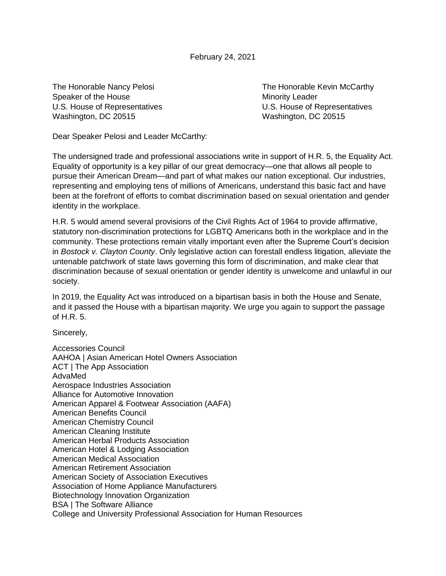February 24, 2021

Speaker of the House Minority Leader Washington, DC 20515 Washington, DC 20515

The Honorable Nancy Pelosi **The Honorable Kevin McCarthy** U.S. House of Representatives U.S. House of Representatives

Dear Speaker Pelosi and Leader McCarthy:

The undersigned trade and professional associations write in support of H.R. 5, the Equality Act. Equality of opportunity is a key pillar of our great democracy—one that allows all people to pursue their American Dream—and part of what makes our nation exceptional. Our industries, representing and employing tens of millions of Americans, understand this basic fact and have been at the forefront of efforts to combat discrimination based on sexual orientation and gender identity in the workplace.

H.R. 5 would amend several provisions of the Civil Rights Act of 1964 to provide affirmative, statutory non-discrimination protections for LGBTQ Americans both in the workplace and in the community. These protections remain vitally important even after the Supreme Court's decision in *Bostock v. Clayton County*. Only legislative action can forestall endless litigation, alleviate the untenable patchwork of state laws governing this form of discrimination, and make clear that discrimination because of sexual orientation or gender identity is unwelcome and unlawful in our society.

In 2019, the Equality Act was introduced on a bipartisan basis in both the House and Senate, and it passed the House with a bipartisan majority. We urge you again to support the passage of H.R. 5.

Sincerely,

Accessories Council AAHOA | Asian American Hotel Owners Association ACT | The App Association AdvaMed Aerospace Industries Association Alliance for Automotive Innovation American Apparel & Footwear Association (AAFA) American Benefits Council American Chemistry Council American Cleaning Institute American Herbal Products Association American Hotel & Lodging Association American Medical Association American Retirement Association American Society of Association Executives Association of Home Appliance Manufacturers Biotechnology Innovation Organization BSA | The Software Alliance College and University Professional Association for Human Resources